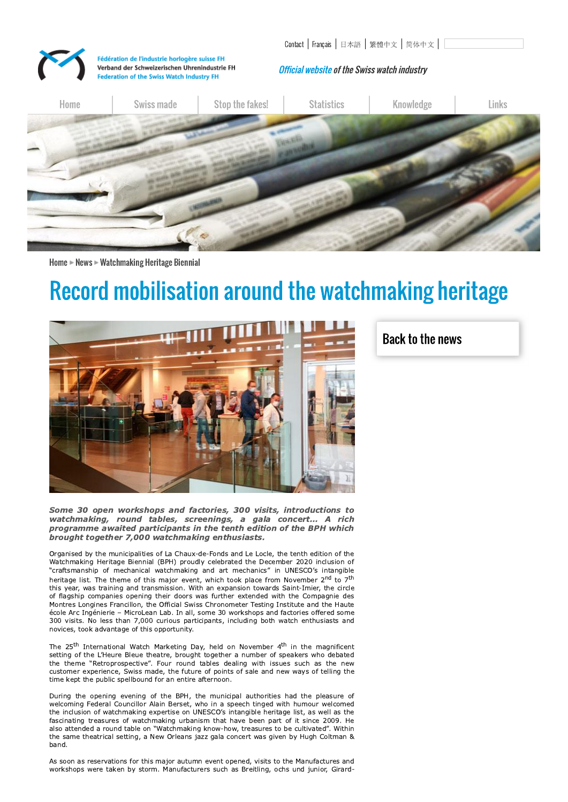## Record mobilisation around the watchmaking heritage



**Back to the news** 

Some 30 open workshops and factories, 300 visits, introductions to watchmaking, round tables, screenings, a gala concert... A rich programme awaited participants in the tenth edition of the BPH which brought together 7.000 watchmaking enthusiasts.

Organised by the municipalities of La Chaux-de-Fonds and Le Locle, the tenth edition of the Watchmaking Heritage Biennial (BPH) proudly celebrated the December 2020 inclusion of "craftsmanship of mechanical watchmaking and art mechanics" in UNESCO's intangible heritage list. The theme of this major event, which took place from November 2<sup>nd</sup> to 7<sup>th</sup> this year, was training and transmission. With an expansion towards Saint-Imier, the circle of flagship companies opening their doors was further extended with the Compagnie des Montres Longines Francillon, the Official Swiss Chronometer Testing Institute and the Haute école Arc Ingénierie - MicroLean Lab. In all, some 30 workshops and factories offered some 300 visits. No less than 7,000 curious participants, including both watch enthusiasts and novices, took advantage of this opportunity.

The 25<sup>th</sup> International Watch Marketing Day, held on November 4<sup>th</sup> in the magnificent setting of the L'Heure Bleue theatre, brought together a number of speakers who debated the theme "Retroprospective". Four round tables dealing with issues such as the new customer experience. Swiss made, the future of points of sale and new ways of telling the time kept the public spellbound for an entire afternoon.

During the opening evening of the BPH, the municipal authorities had the pleasure of welcoming Federal Councillor Alain Berset, who in a speech tinged with humour welcomed the inclusion of watchmaking expertise on UNESCO's intangible heritage list, as well as the fascinating treasures of watchmaking urbanism that have been part of it since 2009. He also attended a round table on "Watchmaking know-how, treasures to be cultivated". Within the same theatrical setting, a New Orleans jazz gala concert was given by Hugh Coltman & band.

As soon as reservations for this major autumn event opened, visits to the Manufactures and workshops were taken by storm. Manufacturers such as Breitling, ochs und junior, Girard